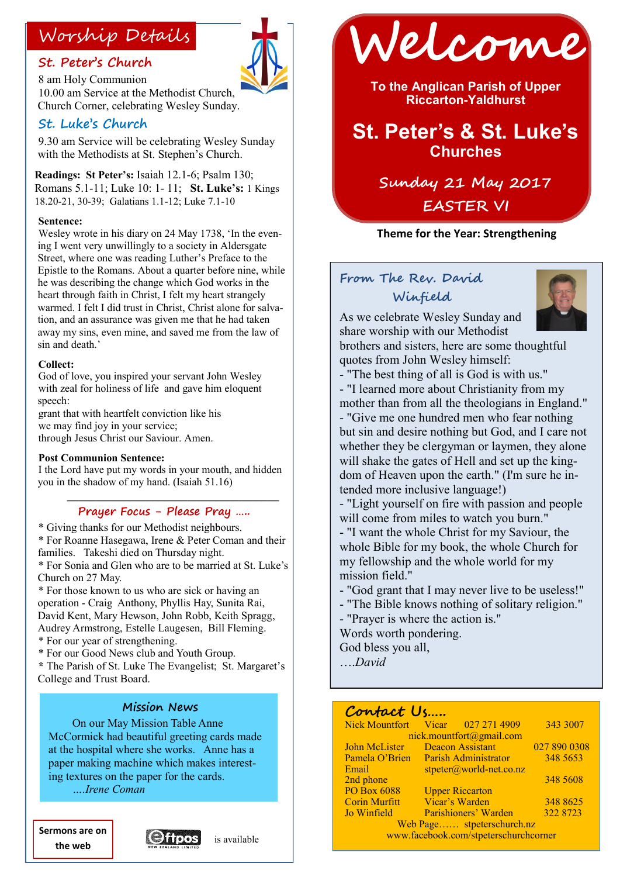### **St. Peter's Church**



8 am Holy Communion 10.00 am Service at the Methodist Church, Church Corner, celebrating Wesley Sunday.

### **St. Luke's Church**

9.30 am Service will be celebrating Wesley Sunday with the Methodists at St. Stephen's Church.

**Readings: St Peter's:** Isaiah 12.1-6; Psalm 130; Romans 5.1-11; Luke 10: 1- 11; **St. Luke's:** 1 Kings 18.20-21, 30-39; Galatians 1.1-12; Luke 7.1-10

#### **Sentence:**

Wesley wrote in his diary on 24 May 1738, 'In the evening I went very unwillingly to a society in Aldersgate Street, where one was reading Luther's Preface to the Epistle to the Romans. About a quarter before nine, while he was describing the change which God works in the heart through faith in Christ, I felt my heart strangely warmed. I felt I did trust in Christ, Christ alone for salvation, and an assurance was given me that he had taken away my sins, even mine, and saved me from the law of sin and death.'

#### **Collect:**

God of love, you inspired your servant John Wesley with zeal for holiness of life and gave him eloquent speech:

grant that with heartfelt conviction like his we may find joy in your service; through Jesus Christ our Saviour. Amen.

#### **Post Communion Sentence:**

I the Lord have put my words in your mouth, and hidden you in the shadow of my hand. (Isaiah 51.16)

#### $\mathcal{L} = \left\{ \begin{array}{ll} \mathcal{L}_{\mathcal{A}} & \mathcal{L}_{\mathcal{A}} \geq \mathcal{L}_{\mathcal{A}} \end{array} \right.$ **Prayer Focus - Please Pray …..**

\* Giving thanks for our Methodist neighbours. \* For Roanne Hasegawa, Irene & Peter Coman and their

families. Takeshi died on Thursday night.

\* For Sonia and Glen who are to be married at St. Luke's Church on 27 May.

\* For those known to us who are sick or having an operation - Craig Anthony, Phyllis Hay, Sunita Rai, David Kent, Mary Hewson, John Robb, Keith Spragg, Audrey Armstrong, Estelle Laugesen, Bill Fleming. \* For our year of strengthening.

\* For our Good News club and Youth Group.

**\*** The Parish of St. Luke The Evangelist; St. Margaret's College and Trust Board.

#### **Mission News**

On our May Mission Table Anne McCormick had beautiful greeting cards made at the hospital where she works. Anne has a paper making machine which makes interesting textures on the paper for the cards.

*….Irene Coman* 

**Sermons are on the web**





**To the Anglican Parish of Upper Riccarton-Yaldhurst**

## **St. Peter's & St. Luke's Churches**

**Sunday 21 May 2017 EASTER VI**

#### **Theme for the Year: Strengthening**

### **From The Rev. David Winfield**



As we celebrate Wesley Sunday and share worship with our Methodist

brothers and sisters, here are some thoughtful quotes from John Wesley himself:

- "The best thing of all is God is with us." - "I learned more about Christianity from my mother than from all the theologians in England." - "Give me one hundred men who fear nothing but sin and desire nothing but God, and I care not whether they be clergyman or laymen, they alone will shake the gates of Hell and set up the kingdom of Heaven upon the earth." (I'm sure he intended more inclusive language!)

- "Light yourself on fire with passion and people will come from miles to watch you burn."

- "I want the whole Christ for my Saviour, the whole Bible for my book, the whole Church for my fellowship and the whole world for my mission field."

- "God grant that I may never live to be useless!"
- "The Bible knows nothing of solitary religion."

- "Prayer is where the action is."

Words worth pondering.

God bless you all,

….*David*

### **Contact Us…..**

| Nick Mountfort Vicar 027 271 4909     |                         |                           | 343 3007     |  |
|---------------------------------------|-------------------------|---------------------------|--------------|--|
| nick.mountfort@gmail.com              |                         |                           |              |  |
| John McLister                         | <b>Deacon Assistant</b> |                           | 027 890 0308 |  |
| Pamela O'Brien                        | Parish Administrator    |                           | 348 5653     |  |
| Email                                 |                         | $stpeter@world-net.co.nz$ |              |  |
| 2nd phone                             |                         |                           | 348 5608     |  |
| <b>PO Box 6088</b>                    |                         | <b>Upper Riccarton</b>    |              |  |
| <b>Corin Murfitt</b>                  |                         | Vicar's Warden            | 348 8625     |  |
| Jo Winfield                           |                         | Parishioners' Warden      | 322 8723     |  |
| Web Page stpeterschurch.nz            |                         |                           |              |  |
| www.facebook.com/stpeterschurchcorner |                         |                           |              |  |